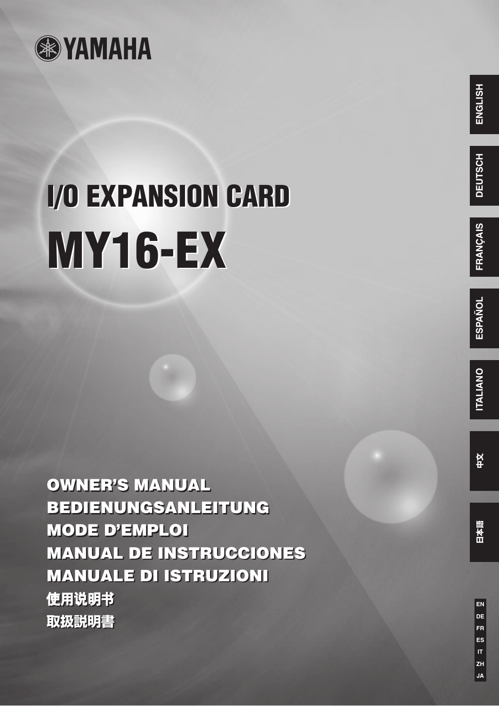

# **I/O EXPANSION CARD I/O EXPANSION CARD MY16-EX MY16-EX**

**OWNER'S MANUAL OWNER'S MANUAL BEDIENUNGSANLEITUNG BEDIENUNGSANLEITUNG MODE D'EMPLOI MODE D'EMPLOI MANUAL DE INSTRUCCIONES MANUAL DE INSTRUCCIONES MANUALE DI ISTRUZIONI MANUALE DI ISTRUZIONI** 使用说明书 **取扱説明書 取扱説明書**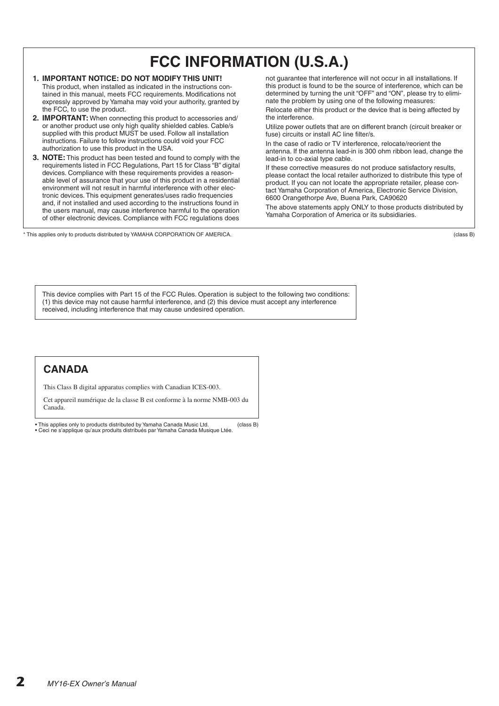# **FCC INFORMATION (U.S.A.)**

- **1. IMPORTANT NOTICE: DO NOT MODIFY THIS UNIT!** This product, when installed as indicated in the instructions contained in this manual, meets FCC requirements. Modifications not expressly approved by Yamaha may void your authority, granted by the FCC, to use the product.
- **2. IMPORTANT:** When connecting this product to accessories and/ or another product use only high quality shielded cables. Cable/s supplied with this product MUST be used. Follow all installation instructions. Failure to follow instructions could void your FCC authorization to use this product in the USA.
- **3. NOTE:** This product has been tested and found to comply with the requirements listed in FCC Regulations, Part 15 for Class "B" digital devices. Compliance with these requirements provides a reasonable level of assurance that your use of this product in a residential environment will not result in harmful interference with other electronic devices. This equipment generates/uses radio frequencies and, if not installed and used according to the instructions found in the users manual, may cause interference harmful to the operation of other electronic devices. Compliance with FCC regulations does

\* This applies only to products distributed by YAMAHA CORPORATION OF AMERICA. (class B)

not guarantee that interference will not occur in all installations. If this product is found to be the source of interference, which can be determined by turning the unit "OFF" and "ON", please try to eliminate the problem by using one of the following measures:

Relocate either this product or the device that is being affected by the interference.

Utilize power outlets that are on different branch (circuit breaker or fuse) circuits or install AC line filter/s.

In the case of radio or TV interference, relocate/reorient the antenna. If the antenna lead-in is 300 ohm ribbon lead, change the lead-in to co-axial type cable.

If these corrective measures do not produce satisfactory results, please contact the local retailer authorized to distribute this type of product. If you can not locate the appropriate retailer, please contact Yamaha Corporation of America, Electronic Service Division, 6600 Orangethorpe Ave, Buena Park, CA90620

The above statements apply ONLY to those products distributed by Yamaha Corporation of America or its subsidiaries.

This device complies with Part 15 of the FCC Rules. Operation is subject to the following two conditions: (1) this device may not cause harmful interference, and (2) this device must accept any interference received, including interference that may cause undesired operation.

### **CANADA**

This Class B digital apparatus complies with Canadian ICES-003.

Cet appareil numérique de la classe B est conforme à la norme NMB-003 du Canada.

• This applies only to products distributed by Yamaha Canada Music Ltd. (class B) • Ceci ne s'applique qu'aux produits distribués par Yamaha Canada Musique Ltée.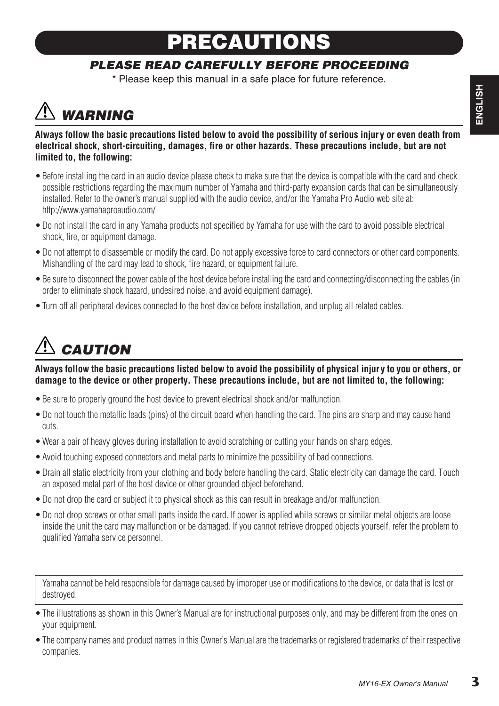# *PLEASE READ CAREFULLY BEFORE PROCEEDING*

\* Please keep this manual in a safe place for future reference.

# *WARNING*

**Always follow the basic precautions listed below to avoid the possibility of serious injury or even death from electrical shock, short-circuiting, damages, fire or other hazards. These precautions include, but are not limited to, the following:**

- •Before installing the card in an audio device please check to make sure that the device is compatible with the card and check possible restrictions regarding the maximum number of Yamaha and third-party expansion cards that can be simultaneously installed. Refer to the owner's manual supplied with the audio device, and/or the Yamaha Pro Audio web site at: http://www.yamahaproaudio.com/
- •Do not install the card in any Yamaha products not specified by Yamaha for use with the card to avoid possible electrical shock, fire, or equipment damage.
- •Do not attempt to disassemble or modify the card. Do not apply excessive force to card connectors or other card components. Mishandling of the card may lead to shock, fire hazard, or equipment failure.
- •Be sure to disconnect the power cable of the host device before installing the card and connecting/disconnecting the cables (in order to eliminate shock hazard, undesired noise, and avoid equipment damage).
- Turn off all peripheral devices connected to the host device before installation, and unplug all related cables.

# *CAUTION*

**Always follow the basic precautions listed below to avoid the possibility of physical injury to you or others, or damage to the device or other property. These precautions include, but are not limited to, the following:**

- •Be sure to properly ground the host device to prevent electrical shock and/or malfunction.
- •Do not touch the metallic leads (pins) of the circuit board when handling the card. The pins are sharp and may cause hand cuts.
- Wear a pair of heavy gloves during installation to avoid scratching or cutting your hands on sharp edges.
- Avoid touching exposed connectors and metal parts to minimize the possibility of bad connections.
- •Drain all static electricity from your clothing and body before handling the card. Static electricity can damage the card. Touch an exposed metal part of the host device or other grounded object beforehand.
- •Do not drop the card or subject it to physical shock as this can result in breakage and/or malfunction.
- •Do not drop screws or other small parts inside the card. If power is applied while screws or similar metal objects are loose inside the unit the card may malfunction or be damaged. If you cannot retrieve dropped objects yourself, refer the problem to qualified Yamaha service personnel.

Yamaha cannot be held responsible for damage caused by improper use or modifications to the device, or data that is lost or destroyed.

- The illustrations as shown in this Owner's Manual are for instructional purposes only, and may be different from the ones on your equipment.
- •The company names and product names in this Owner's Manual are the trademarks or registered trademarks of their respective companies.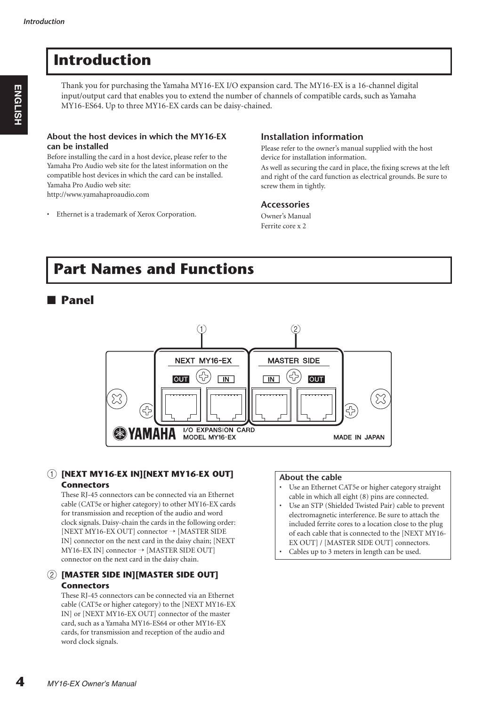# **Introduction**

Thank you for purchasing the Yamaha MY16-EX I/O expansion card. The MY16-EX is a 16-channel digital input/output card that enables you to extend the number of channels of compatible cards, such as Yamaha MY16-ES64. Up to three MY16-EX cards can be daisy-chained.

#### **About the host devices in which the MY16-EX can be installed**

Before installing the card in a host device, please refer to the Yamaha Pro Audio web site for the latest information on the compatible host devices in which the card can be installed. Yamaha Pro Audio web site:

<http://www.yamahaproaudio.com>

• Ethernet is a trademark of Xerox Corporation.

#### **Installation information**

Please refer to the owner's manual supplied with the host device for installation information. As well as securing the card in place, the fixing screws at the left and right of the card function as electrical grounds. Be sure to screw them in tightly.

#### **Accessories**

Owner's Manual Ferrite core x 2

# **Part Names and Functions**

### ■ **Panel**



#### A **[NEXT MY16-EX IN][NEXT MY16-EX OUT] Connectors**

These RJ-45 connectors can be connected via an Ethernet cable (CAT5e or higher category) to other MY16-EX cards for transmission and reception of the audio and word clock signals. Daisy-chain the cards in the following order: [NEXT MY16-EX OUT] connector → [MASTER SIDE IN] connector on the next card in the daisy chain; [NEXT  $MY16-EX IN$ ] connector  $\rightarrow$  [MASTER SIDE OUT] connector on the next card in the daisy chain.

#### B **[MASTER SIDE IN][MASTER SIDE OUT] Connectors**

These RJ-45 connectors can be connected via an Ethernet cable (CAT5e or higher category) to the [NEXT MY16-EX IN] or [NEXT MY16-EX OUT] connector of the master card, such as a Yamaha MY16-ES64 or other MY16-EX cards, for transmission and reception of the audio and word clock signals.

#### **About the cable**

- Use an Ethernet CAT5e or higher category straight cable in which all eight (8) pins are connected.
- Use an STP (Shielded Twisted Pair) cable to prevent electromagnetic interference. Be sure to attach the included ferrite cores to a location close to the plug of each cable that is connected to the [NEXT MY16- EX OUT] / [MASTER SIDE OUT] connectors.
- Cables up to 3 meters in length can be used.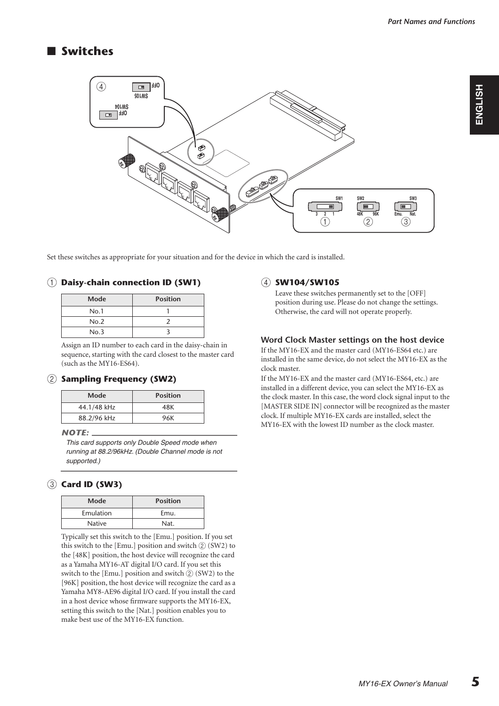## ■ **Switches**



Set these switches as appropriate for your situation and for the device in which the card is installed.

#### A **Daisy-chain connection ID (SW1)**

| Mode | <b>Position</b> |
|------|-----------------|
| No.1 |                 |
| No.2 |                 |
| No.3 |                 |

Assign an ID number to each card in the daisy-chain in sequence, starting with the card closest to the master card (such as the MY16-ES64).

#### B **Sampling Frequency (SW2)**

| Mode        | <b>Position</b> |
|-------------|-----------------|
| 44.1/48 kHz | 48K             |
| 88.2/96 kHz | 96K             |

*NOTE:*

*This card supports only Double Speed mode when running at 88.2/96kHz. (Double Channel mode is not supported.)*

#### C **Card ID (SW3)**

| Mode          | <b>Position</b> |
|---------------|-----------------|
| Emulation     | Emu.            |
| <b>Native</b> | Nat.            |

Typically set this switch to the [Emu.] position. If you set this switch to the [Emu.] position and switch  $(2)$  (SW2) to the [48K] position, the host device will recognize the card as a Yamaha MY16-AT digital I/O card. If you set this switch to the [Emu.] position and switch  $(2)$  (SW2) to the [96K] position, the host device will recognize the card as a Yamaha MY8-AE96 digital I/O card. If you install the card in a host device whose firmware supports the MY16-EX, setting this switch to the [Nat.] position enables you to make best use of the MY16-EX function.

#### D **SW104/SW105**

Leave these switches permanently set to the [OFF] position during use. Please do not change the settings. Otherwise, the card will not operate properly.

#### **Word Clock Master settings on the host device**

If the MY16-EX and the master card (MY16-ES64 etc.) are installed in the same device, do not select the MY16-EX as the clock master.

If the MY16-EX and the master card (MY16-ES64, etc.) are installed in a different device, you can select the MY16-EX as the clock master. In this case, the word clock signal input to the [MASTER SIDE IN] connector will be recognized as the master clock. If multiple MY16-EX cards are installed, select the MY16-EX with the lowest ID number as the clock master.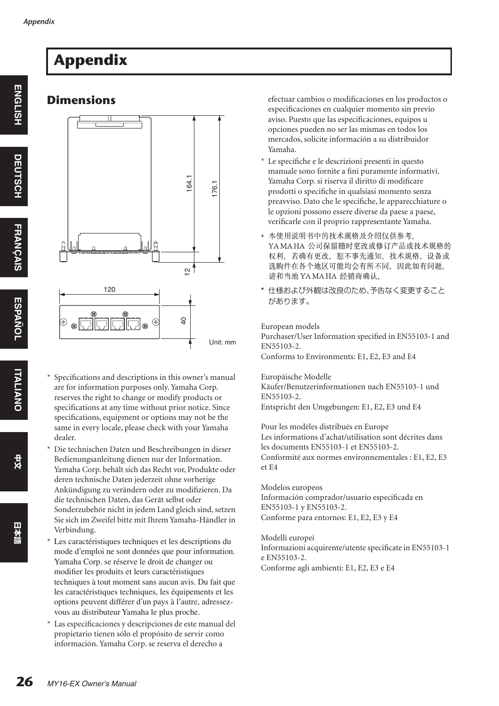# **Appendix**



- Specifications and descriptions in this owner's manual are for information purposes only. Yamaha Corp. reserves the right to change or modify products or specifications at any time without prior notice. Since specifications, equipment or options may not be the same in every locale, please check with your Yamaha dealer.
- Die technischen Daten und Beschreibungen in dieser Bedienungsanleitung dienen nur der Information. Yamaha Corp. behält sich das Recht vor, Produkte oder deren technische Daten jederzeit ohne vorherige Ankündigung zu verändern oder zu modifizieren. Da die technischen Daten, das Gerät selbst oder Sonderzubehör nicht in jedem Land gleich sind, setzen Sie sich im Zweifel bitte mit Ihrem Yamaha-Händler in Verbindung.
- \* Les caractéristiques techniques et les descriptions du mode d'emploi ne sont données que pour information. Yamaha Corp. se réserve le droit de changer ou modifier les produits et leurs caractéristiques techniques à tout moment sans aucun avis. Du fait que les caractéristiques techniques, les équipements et les options peuvent différer d'un pays à l'autre, adressezvous au distributeur Yamaha le plus proche.
- \* Las especificaciones y descripciones de este manual del propietario tienen sólo el propósito de servir como información. Yamaha Corp. se reserva el derecho a

efectuar cambios o modificaciones en los productos o especificaciones en cualquier momento sin previo aviso. Puesto que las especificaciones, equipos u opciones pueden no ser las mismas en todos los mercados, solicite información a su distribuidor Yamaha.

- \* Le specifiche e le descrizioni presenti in questo manuale sono fornite a fini puramente informativi. Yamaha Corp. si riserva il diritto di modificare prodotti o specifiche in qualsiasi momento senza preavviso. Dato che le specifiche, le apparecchiature o le opzioni possono essere diverse da paese a paese, verificarle con il proprio rappresentante Yamaha.
- \* 本使用说明书中的技术规格及介绍仅供参考。 YAMAHA 公司保留随时更改或修订产品或技术规格的 权利, 若确有更改, 恕不事先通知。技术规格、设备或 选购件在各个地区可能均会有所不同, 因此如有问题, 请和当地 YAMAHA 经销商确认。
- \* 仕様および外観は改良のため、予告なく変更すること があります。

#### European models

Purchaser/User Information specified in EN55103-1 and EN55103-2. Conforms to Environments: E1, E2, E3 and E4

Europäische Modelle Käufer/Benutzerinformationen nach EN55103-1 und EN55103-2. Entspricht den Umgebungen: E1, E2, E3 und E4

Pour les modèles distribués en Europe Les informations d'achat/utilisation sont décrites dans les documents EN55103-1 et EN55103-2. Conformité aux normes environnementales : E1, E2, E3 et E4

Modelos europeos Información comprador/usuario especificada en EN55103-1 y EN55103-2. Conforme para entornos: E1, E2, E3 y E4

Modelli europei Informazioni acquirente/utente specificate in EN55103-1 e EN55103-2. Conforme agli ambienti: E1, E2, E3 e E4

붱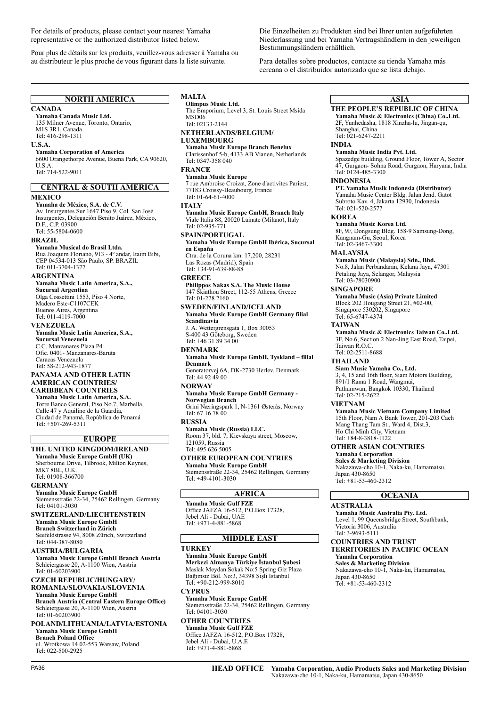For details of products, please contact your nearest Yamaha representative or the authorized distributor listed below.

Pour plus de détails sur les produits, veuillez-vous adresser à Yamaha ou au distributeur le plus proche de vous figurant dans la liste suivante.

Die Einzelheiten zu Produkten sind bei Ihrer unten aufgeführten Niederlassung und bei Yamaha Vertragshändlern in den jeweiligen Bestimmungsländern erhältlich.

Para detalles sobre productos, contacte su tienda Yamaha más cercana o el distribuidor autorizado que se lista debajo.

#### **NORTH AMERICA**

#### **CANADA**

**Yamaha Canada Music Ltd.** 135 Milner Avenue, Toronto, Ontario, M1S 3R1, Canada Tel: 416-298-1311

#### **U.S.A.**

**Yamaha Corporation of America**  6600 Orangethorpe Avenue, Buena Park, CA 90620, U.S.A. Tel: 714-522-9011

**MEXICO CENTRAL & SOUTH AMERICA**

**Yamaha de México, S.A. de C.V.** Av. Insurgentes Sur 1647 Piso 9, Col. San José Insurgentes, Delegación Benito Juárez, México, D.F., C.P. 03900 Tel: 55-5804-0600

#### **BRAZIL**

**Yamaha Musical do Brasil Ltda.** Rua Joaquim Floriano, 913 - 4º andar, Itaim Bibi, CEP 04534-013 São Paulo, SP. BRAZIL Tel: 011-3704-1377

#### **ARGENTINA**

**Yamaha Music Latin America, S.A., Sucursal Argentina** Olga Cossettini 1553, Piso 4 Norte, Madero Este-C1107CEK Buenos Aires, Argentina Tel: 011-4119-7000

**VENEZUELA Yamaha Music Latin America, S.A., Sucursal Venezuela** C.C. Manzanares Plaza P4 Ofic. 0401- Manzanares-Baruta Caracas Venezuela Tel: 58-212-943-1877

#### **PANAMA AND OTHER LATIN AMERICAN COUNTRIES/ CARIBBEAN COUNTRIES**

**Yamaha Music Latin America, S.A.** Torre Banco General, Piso No.7, Marbella, Calle 47 y Aquilino de la Guardia, Ciudad de Panamá, República de Panamá Tel: +507-269-5311

#### **EUROPE**

**THE UNITED KINGDOM/IRELAND Yamaha Music Europe GmbH (UK)** Sherbourne Drive, Tilbrook, Milton Keynes, MK7 8BL, U.K. Tel: 01908-366700

#### **GERMANY Yamaha Music Europe GmbH** Siemensstraße 22-34, 25462 Rellingen, Germany Tel: 04101-3030

**SWITZERLAND/LIECHTENSTEIN Yamaha Music Europe GmbH Branch Switzerland in Zürich** Seefeldstrasse 94, 8008 Zürich, Switzerland

Tel: 044-387-8080 **AUSTRIA/BULGARIA**

#### **Yamaha Music Europe GmbH Branch Austria** Schleiergasse 20, A-1100 Wien, Austria Tel: 01-60203900

**CZECH REPUBLIC/HUNGARY/ ROMANIA/SLOVAKIA/SLOVENIA Yamaha Music Europe GmbH Branch Austria (Central Eastern Europe Office)** Schleiergasse 20, A-1100 Wien, Austria Tel: 01-60203900

#### **POLAND/LITHUANIA/LATVIA/ESTONIA Yamaha Music Europe GmbH Branch Poland Office**

ul. Wrotkowa 14 02-553 Warsaw, Poland Tel: 022-500-2925

#### **MALTA Olimpus Music Ltd.**

- The Emporium, Level 3, St. Louis Street Msida MSD06
- Tel: 02133-2144
- **NETHERLANDS/BELGIUM/ LUXEMBOURG**
- 

**Yamaha Music Europe Branch Benelux** Clarissenhof 5-b, 4133 AB Vianen, Netherlands Tel: 0347-358 040

#### **FRANCE**

**Yamaha Music Europe**  7 rue Ambroise Croizat, Zone d'activites Pariest, 77183 Croissy-Beaubourg, France Tel: 01-64-61-4000

#### **ITALY**

**Yamaha Music Europe GmbH, Branch Italy** Viale Italia 88, 20020 Lainate (Milano), Italy Tel: 02-935-771

#### **SPAIN/PORTUGAL**

**Yamaha Music Europe GmbH Ibérica, Sucursal en España**

Ctra. de la Coruna km. 17,200, 28231 Las Rozas (Madrid), Spain Tel: +34-91-639-88-88

#### **GREECE**

**Philippos Nakas S.A. The Music House** 147 Skiathou Street, 112-55 Athens, Greece Tel: 01-228 2160

**SWEDEN/FINLAND/ICELAND Yamaha Music Europe GmbH Germany filial Scandinavia** J. A. Wettergrensgata 1, Box 30053

S-400 43 Göteborg, Sweden Tel: +46 31 89 34 00

#### **DENMARK**

**Yamaha Music Europe GmbH, Tyskland – filial Denmark**

Generatorvej 6A, DK-2730 Herlev, Denmark Tel: 44 92 49 00

#### **NORWAY**

**Yamaha Music Europe GmbH Germany - Norwegian Branch** Grini Næringspark 1, N-1361 Østerås, Norway

#### Tel: 67 16 78 00 **RUSSIA**

**Yamaha Music (Russia) LLC.** Room 37, bld. 7, Kievskaya street, Moscow, 121059, Russia Tel: 495 626 5005

#### **OTHER EUROPEAN COUNTRIES Yamaha Music Europe GmbH**

Siemensstraße 22-34, 25462 Rellingen, Germany Tel: +49-4101-3030

#### **AFRICA**

**Yamaha Music Gulf FZE** Office JAFZA 16-512, P.O.Box 17328, Jebel Ali - Dubai, UAE Tel: +971-4-881-5868

#### **MIDDLE EAST**

#### **TURKEY**

**Yamaha Music Europe GmbH Merkezi Almanya Türkiye İstanbul Şubesi** Maslak Meydan Sokak No:5 Spring Giz Plaza Bağımsız Böl. No:3, 34398 Şişli İstanbul Tel: +90-212-999-8010

#### **CYPRUS**

**Yamaha Music Europe GmbH** Siemensstraße 22-34, 25462 Rellingen, Germany Tel: 04101-3030

#### **OTHER COUNTRIES Yamaha Music Gulf FZE**

Office JAFZA 16-512, P.O.Box 17328, Jebel Ali - Dubai, U.A.E Tel: +971-4-881-5868

#### **ASIA**

#### **THE PEOPLE'S REPUBLIC OF CHINA Yamaha Music & Electronics (China) Co.,Ltd.**

2F, Yunhedasha, 1818 Xinzha-lu, Jingan-qu, Shanghai, China Tel: 021-6247-2211

#### **INDIA**

**Yamaha Music India Pvt. Ltd.**

Spazedge building, Ground Floor, Tower A, Sector 47, Gurgaon- Sohna Road, Gurgaon, Haryana, India Tel: 0124-485-3300

#### **INDONESIA**

**PT. Yamaha Musik Indonesia (Distributor)**  Yamaha Music Center Bldg. Jalan Jend. Gatot Subroto Kav. 4, Jakarta 12930, Indonesia Tel: 021-520-2577

#### **KOREA**

**Yamaha Music Korea Ltd.** 8F, 9F, Dongsung Bldg. 158-9 Samsung-Dong, Kangnam-Gu, Seoul, Korea

#### Tel: 02-3467-3300

#### **MALAYSIA**

**Yamaha Music (Malaysia) Sdn., Bhd.** No.8, Jalan Perbandaran, Kelana Jaya, 47301 Petaling Jaya, Selangor, Malaysia Tel: 03-78030900

#### **SINGAPORE**

**Yamaha Music (Asia) Private Limited** Block 202 Hougang Street 21, #02-00, Singapore 530202, Singapore Tel: 65-6747-4374

#### **TAIWAN**

**Yamaha Music & Electronics Taiwan Co.,Ltd.** 3F, No.6, Section 2 Nan-Jing East Road, Taipei, Taiwan R.O.C. Tel: 02-2511-8688

#### **THAILAND**

**Siam Music Yamaha Co., Ltd.** 3, 4, 15 and 16th floor, Siam Motors Building, 891/1 Rama 1 Road, Wangmai, Pathumwan, Bangkok 10330, Thailand Tel: 02-215-2622

#### **VIETNAM**

**Yamaha Music Vietnam Company Limited** 15th Floor, Nam A Bank Tower, 201-203 Cach Mang Thang Tam St., Ward 4, Dist.3, Ho Chi Minh City, Vietnam Tel: +84-8-3818-1122

#### **OTHER ASIAN COUNTRIES**

**Yamaha Corporation Sales & Marketing Division** Nakazawa-cho 10-1, Naka-ku, Hamamatsu,

Japan 430-8650 Tel: +81-53-460-2312

#### **OCEANIA**

#### **AUSTRALIA**

**Yamaha Music Australia Pty. Ltd.** Level 1, 99 Queensbridge Street, Southbank, Victoria 3006, Australia Tel: 3-9693-5111 **COUNTRIES AND TRUST TERRITORIES IN PACIFIC OCEAN Yamaha Corporation Sales & Marketing Division** Nakazawa-cho 10-1, Naka-ku, Hamamatsu, Japan 430-8650